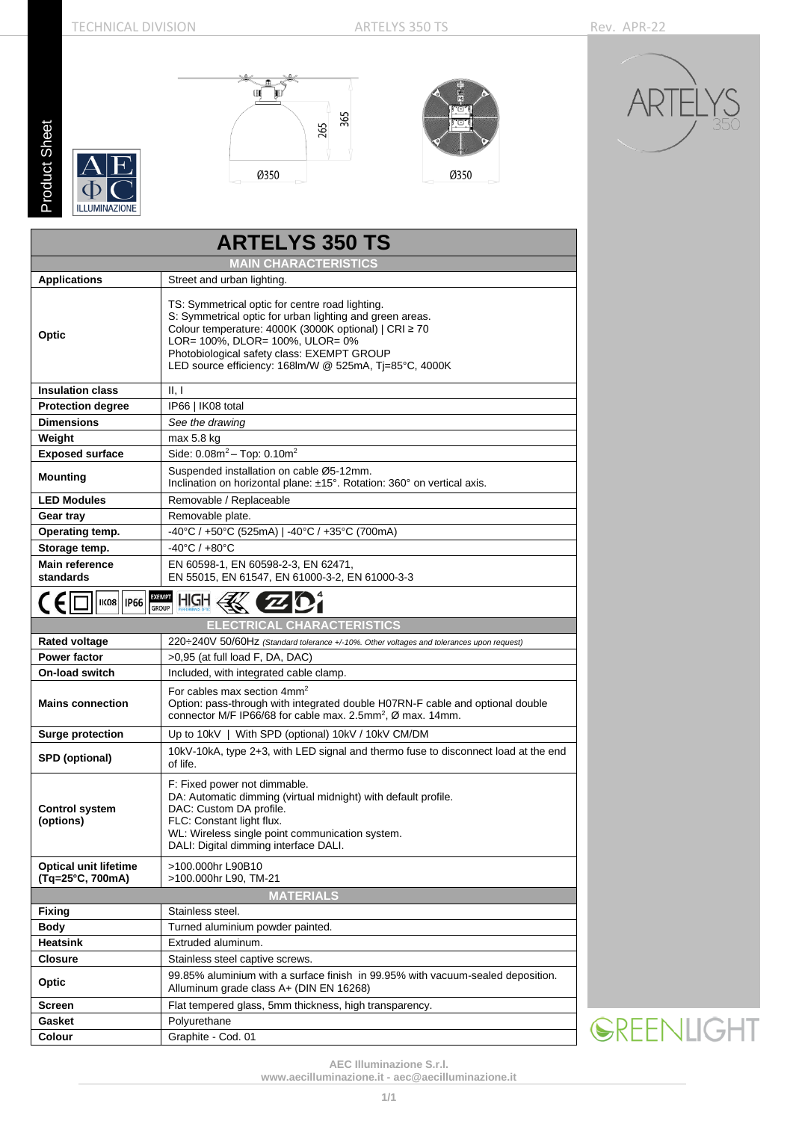**Product Sheet** Product Sheet









| <b>ARTELYS 350 TS</b>                            |                                                                                                                                                                                                                                                                                                                 |  |  |  |  |  |  |
|--------------------------------------------------|-----------------------------------------------------------------------------------------------------------------------------------------------------------------------------------------------------------------------------------------------------------------------------------------------------------------|--|--|--|--|--|--|
|                                                  | <b>MAIN CHARACTERISTICS</b>                                                                                                                                                                                                                                                                                     |  |  |  |  |  |  |
| <b>Applications</b>                              | Street and urban lighting.                                                                                                                                                                                                                                                                                      |  |  |  |  |  |  |
| Optic                                            | TS: Symmetrical optic for centre road lighting.<br>S: Symmetrical optic for urban lighting and green areas.<br>Colour temperature: 4000K (3000K optional)   CRI ≥ 70<br>LOR= 100%, DLOR= 100%, ULOR= 0%<br>Photobiological safety class: EXEMPT GROUP<br>LED source efficiency: 168lm/W @ 525mA, Tj=85°C, 4000K |  |  |  |  |  |  |
| <b>Insulation class</b>                          | II, I                                                                                                                                                                                                                                                                                                           |  |  |  |  |  |  |
| <b>Protection degree</b>                         | IP66   IK08 total                                                                                                                                                                                                                                                                                               |  |  |  |  |  |  |
| <b>Dimensions</b>                                | See the drawing                                                                                                                                                                                                                                                                                                 |  |  |  |  |  |  |
| Weight                                           | max 5.8 kg                                                                                                                                                                                                                                                                                                      |  |  |  |  |  |  |
| <b>Exposed surface</b>                           | Side: $0.08m^2 - Top$ : $0.10m^2$                                                                                                                                                                                                                                                                               |  |  |  |  |  |  |
| <b>Mounting</b>                                  | Suspended installation on cable Ø5-12mm.<br>Inclination on horizontal plane: ±15°. Rotation: 360° on vertical axis.                                                                                                                                                                                             |  |  |  |  |  |  |
| <b>LED Modules</b>                               | Removable / Replaceable                                                                                                                                                                                                                                                                                         |  |  |  |  |  |  |
| Gear tray                                        | Removable plate.                                                                                                                                                                                                                                                                                                |  |  |  |  |  |  |
| Operating temp.                                  | -40°C / +50°C (525mA)   -40°C / +35°C (700mA)                                                                                                                                                                                                                                                                   |  |  |  |  |  |  |
| Storage temp.                                    | $-40^{\circ}$ C / $+80^{\circ}$ C                                                                                                                                                                                                                                                                               |  |  |  |  |  |  |
| <b>Main reference</b><br>standards               | EN 60598-1, EN 60598-2-3, EN 62471,<br>EN 55015, EN 61547, EN 61000-3-2, EN 61000-3-3                                                                                                                                                                                                                           |  |  |  |  |  |  |
| CE<br><b>IKO8   IP66</b>                         | <b>EXEMPT</b><br>HIGH<br><b>GROUP</b>                                                                                                                                                                                                                                                                           |  |  |  |  |  |  |
|                                                  | <b>ELECTRICAL CHARACTERISTICS</b>                                                                                                                                                                                                                                                                               |  |  |  |  |  |  |
| <b>Rated voltage</b>                             | 220÷240V 50/60Hz (Standard tolerance +/-10%. Other voltages and tolerances upon request)                                                                                                                                                                                                                        |  |  |  |  |  |  |
| <b>Power factor</b>                              | >0,95 (at full load F, DA, DAC)                                                                                                                                                                                                                                                                                 |  |  |  |  |  |  |
| <b>On-load switch</b>                            | Included, with integrated cable clamp.                                                                                                                                                                                                                                                                          |  |  |  |  |  |  |
| <b>Mains connection</b>                          | For cables max section $4mm2$<br>Option: pass-through with integrated double H07RN-F cable and optional double<br>connector M/F IP66/68 for cable max. 2.5mm <sup>2</sup> , Ø max. 14mm.                                                                                                                        |  |  |  |  |  |  |
| <b>Surge protection</b>                          | Up to 10kV   With SPD (optional) 10kV / 10kV CM/DM                                                                                                                                                                                                                                                              |  |  |  |  |  |  |
| SPD (optional)                                   | 10kV-10kA, type 2+3, with LED signal and thermo fuse to disconnect load at the end<br>of life.                                                                                                                                                                                                                  |  |  |  |  |  |  |
| <b>Control system</b><br>(options)               | F: Fixed power not dimmable.<br>DA: Automatic dimming (virtual midnight) with default profile.<br>DAC: Custom DA profile.<br>FLC: Constant light flux.<br>WL: Wireless single point communication system.<br>DALI: Digital dimming interface DALI.                                                              |  |  |  |  |  |  |
| <b>Optical unit lifetime</b><br>(Tg=25°C, 700mA) | >100.000hr L90B10<br>>100.000hr L90, TM-21                                                                                                                                                                                                                                                                      |  |  |  |  |  |  |
|                                                  | <b>MATERIALS</b>                                                                                                                                                                                                                                                                                                |  |  |  |  |  |  |
| Fixing                                           | Stainless steel.                                                                                                                                                                                                                                                                                                |  |  |  |  |  |  |
| Body                                             | Turned aluminium powder painted.                                                                                                                                                                                                                                                                                |  |  |  |  |  |  |
| Heatsink                                         | Extruded aluminum.                                                                                                                                                                                                                                                                                              |  |  |  |  |  |  |
| <b>Closure</b>                                   | Stainless steel captive screws.                                                                                                                                                                                                                                                                                 |  |  |  |  |  |  |
| Optic                                            | 99.85% aluminium with a surface finish in 99.95% with vacuum-sealed deposition.<br>Alluminum grade class A+ (DIN EN 16268)                                                                                                                                                                                      |  |  |  |  |  |  |
| Screen                                           | Flat tempered glass, 5mm thickness, high transparency.                                                                                                                                                                                                                                                          |  |  |  |  |  |  |
| Gasket                                           | Polyurethane                                                                                                                                                                                                                                                                                                    |  |  |  |  |  |  |
| Colour                                           | Graphite - Cod. 01                                                                                                                                                                                                                                                                                              |  |  |  |  |  |  |

**SREENLIGHT** 

**AEC Illuminazione S.r.l.**

**[www.aecilluminazione.it](http://www.aecilluminazione.it/) - [aec@aecilluminazione.it](mailto:aec@aecilluminazione.it)**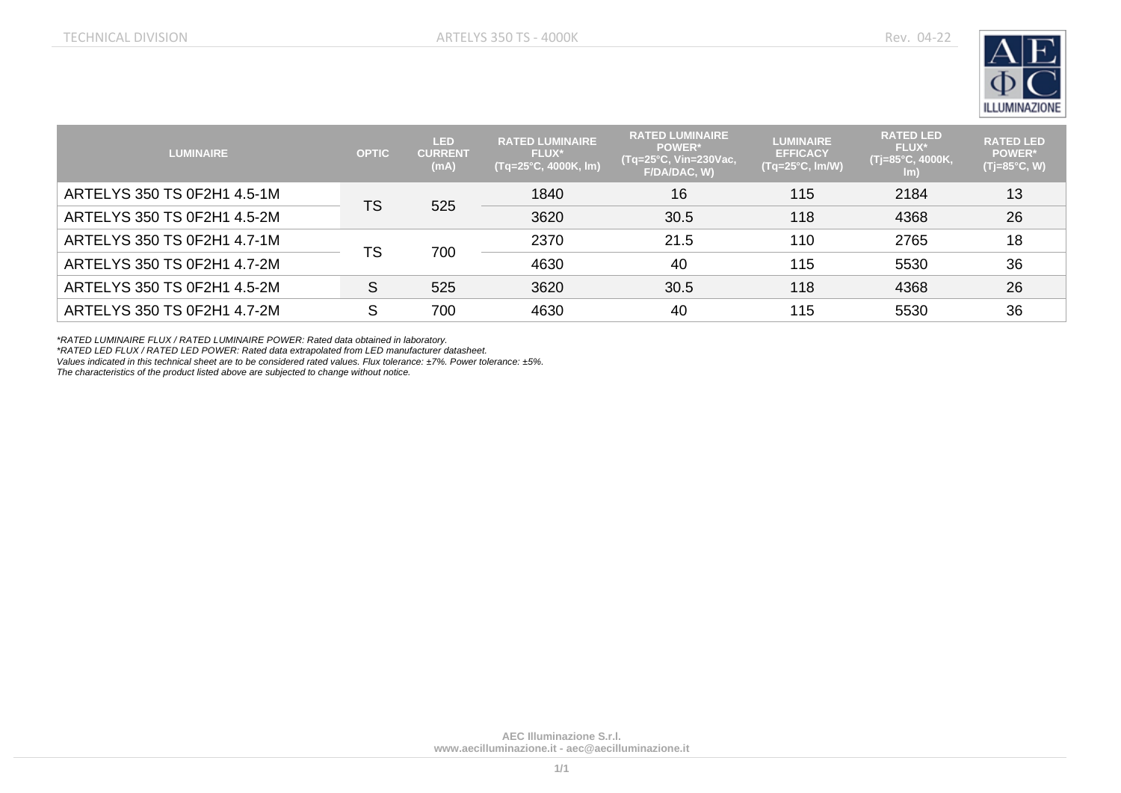

| <b>LUMINAIRE</b>            | <b>OPTIC</b> | LED<br><b>CURRENT</b><br>(mA) | <b>RATED LUMINAIRE</b><br><b>FLUX*</b><br>$(Tq=25^{\circ}C, 4000K, Im)$ | <b>RATED LUMINAIRE</b><br><b>POWER*</b><br>(Tq=25°C, Vin=230Vac, I<br>F/DA/DAC, W) | <b>LUMINAIRE</b><br><b>EFFICACY</b><br>$($ Tq=25°C, Im <u>/W)</u> | <b>RATED LED</b><br><b>FLUX*</b><br>, (Tj=85°C, 4000K,<br>lm) | <b>RATED LED</b><br><b>POWER*</b><br>(Tj=85°C, W) |
|-----------------------------|--------------|-------------------------------|-------------------------------------------------------------------------|------------------------------------------------------------------------------------|-------------------------------------------------------------------|---------------------------------------------------------------|---------------------------------------------------|
| ARTELYS 350 TS 0F2H1 4.5-1M | TS           | 525                           | 1840                                                                    | 16                                                                                 | 115                                                               | 2184                                                          | 13                                                |
| ARTELYS 350 TS 0F2H1 4.5-2M |              |                               | 3620                                                                    | 30.5                                                                               | 118                                                               | 4368                                                          | 26                                                |
| ARTELYS 350 TS 0F2H1 4.7-1M | TS           | 700                           | 2370                                                                    | 21.5                                                                               | 110                                                               | 2765                                                          | 18                                                |
| ARTELYS 350 TS 0F2H1 4.7-2M |              |                               | 4630                                                                    | 40                                                                                 | 115                                                               | 5530                                                          | 36                                                |
| ARTELYS 350 TS 0F2H1 4.5-2M | S            | 525                           | 3620                                                                    | 30.5                                                                               | 118                                                               | 4368                                                          | 26                                                |
| ARTELYS 350 TS 0F2H1 4.7-2M | c            | 700                           | 4630                                                                    | 40                                                                                 | 115                                                               | 5530                                                          | 36                                                |

*\*RATED LUMINAIRE FLUX / RATED LUMINAIRE POWER: Rated data obtained in laboratory.*

*\*RATED LED FLUX / RATED LED POWER: Rated data extrapolated from LED manufacturer datasheet.*

*Values indicated in this technical sheet are to be considered rated values. Flux tolerance: ±7%. Power tolerance: ±5%.*

*The characteristics of the product listed above are subjected to change without notice.*